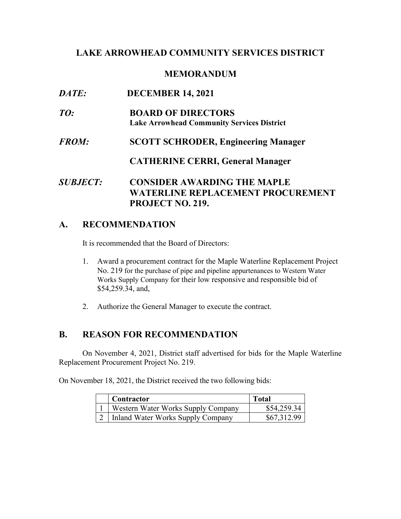## **LAKE ARROWHEAD COMMUNITY SERVICES DISTRICT**

#### **MEMORANDUM**

 $\bm{D} \bm{A} \bm{T} \bm{E}$  $TO:$  $FROM:$ *DATE:* **DECEMBER 14, 2021**  *TO:* **BOARD OF DIRECTORS Lake Arrowhead Community Services District**  *FROM:* **SCOTT SCHRODER, Engineering Manager CATHERINE CERRI, General Manager**  *SUBJECT:* **CONSIDER AWARDING THE MAPLE WATERLINE REPLACEMENT PROCUREMENT** 

# **A. RECOMMENDATION**

It is recommended that the Board of Directors:

 **PROJECT NO. 219.** 

- 1. Award a procurement contract for the Maple Waterline Replacement Project No. 219 for the purchase of pipe and pipeline appurtenances to Western Water Works Supply Company for their low responsive and responsible bid of \$[54,259.34,](https://54,259.34) and,
- 2. Authorize the General Manager to execute the contract.

## **B. REASON FOR RECOMMENDATION**

On November 4, 2021, District staff advertised for bids for the Maple Waterline Replacement Procurement Project No. 219.

On November 18, 2021, the District received the two following bids:

| <b>Contractor</b>                  | <b>Total</b> |
|------------------------------------|--------------|
| Western Water Works Supply Company | \$54,259.34  |
| Inland Water Works Supply Company  | \$67,312.99  |